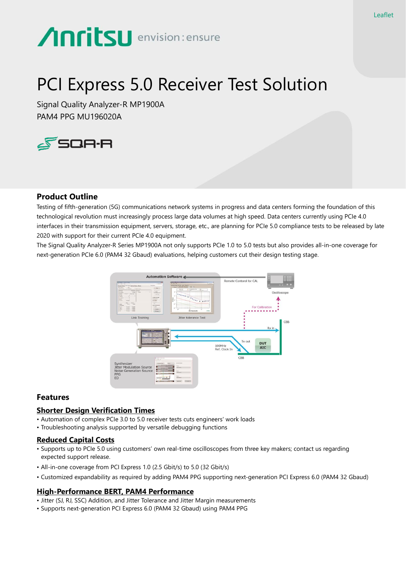# **Anritsu** envision: ensure

# PCI Express 5.0 Receiver Test Solution

Signal Quality Analyzer-R MP1900A PAM4 PPG MU196020A



# **Product Outline**

Testing of fifth-generation (5G) communications network systems in progress and data centers forming the foundation of this technological revolution must increasingly process large data volumes at high speed. Data centers currently using PCIe 4.0 interfaces in their transmission equipment, servers, storage, etc., are planning for PCIe 5.0 compliance tests to be released by late 2020 with support for their current PCIe 4.0 equipment.

The Signal Quality Analyzer-R Series MP1900A not only supports PCIe 1.0 to 5.0 tests but also provides all-in-one coverage for next-generation PCIe 6.0 (PAM4 32 Gbaud) evaluations, helping customers cut their design testing stage.



# **Features**

# **Shorter Design Verification Times**

- Automation of complex PCIe 3.0 to 5.0 receiver tests cuts engineers' work loads
- Troubleshooting analysis supported by versatile debugging functions

#### **Reduced Capital Costs**

- Supports up to PCIe 5.0 using customers' own real-time oscilloscopes from three key makers; contact us regarding expected support release.
- All-in-one coverage from PCI Express 1.0 (2.5 Gbit/s) to 5.0 (32 Gbit/s)
- Customized expandability as required by adding PAM4 PPG supporting next-generation PCI Express 6.0 (PAM4 32 Gbaud)

# **High-Performance BERT, PAM4 Performance**

- Jitter (SJ, RJ, SSC) Addition, and Jitter Tolerance and Jitter Margin measurements
- Supports next-generation PCI Express 6.0 (PAM4 32 Gbaud) using PAM4 PPG